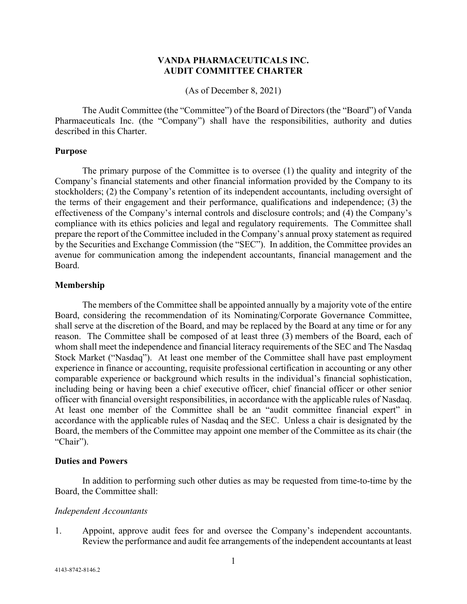## **VANDA PHARMACEUTICALS INC. AUDIT COMMITTEE CHARTER**

(As of December 8, 2021)

The Audit Committee (the "Committee") of the Board of Directors (the "Board") of Vanda Pharmaceuticals Inc. (the "Company") shall have the responsibilities, authority and duties described in this Charter.

## **Purpose**

The primary purpose of the Committee is to oversee (1) the quality and integrity of the Company's financial statements and other financial information provided by the Company to its stockholders; (2) the Company's retention of its independent accountants, including oversight of the terms of their engagement and their performance, qualifications and independence; (3) the effectiveness of the Company's internal controls and disclosure controls; and (4) the Company's compliance with its ethics policies and legal and regulatory requirements. The Committee shall prepare the report of the Committee included in the Company's annual proxy statement as required by the Securities and Exchange Commission (the "SEC"). In addition, the Committee provides an avenue for communication among the independent accountants, financial management and the Board.

## **Membership**

The members of the Committee shall be appointed annually by a majority vote of the entire Board, considering the recommendation of its Nominating/Corporate Governance Committee, shall serve at the discretion of the Board, and may be replaced by the Board at any time or for any reason. The Committee shall be composed of at least three (3) members of the Board, each of whom shall meet the independence and financial literacy requirements of the SEC and The Nasdaq Stock Market ("Nasdaq"). At least one member of the Committee shall have past employment experience in finance or accounting, requisite professional certification in accounting or any other comparable experience or background which results in the individual's financial sophistication, including being or having been a chief executive officer, chief financial officer or other senior officer with financial oversight responsibilities, in accordance with the applicable rules of Nasdaq. At least one member of the Committee shall be an "audit committee financial expert" in accordance with the applicable rules of Nasdaq and the SEC. Unless a chair is designated by the Board, the members of the Committee may appoint one member of the Committee as its chair (the "Chair").

#### **Duties and Powers**

In addition to performing such other duties as may be requested from time-to-time by the Board, the Committee shall:

## *Independent Accountants*

1. Appoint, approve audit fees for and oversee the Company's independent accountants. Review the performance and audit fee arrangements of the independent accountants at least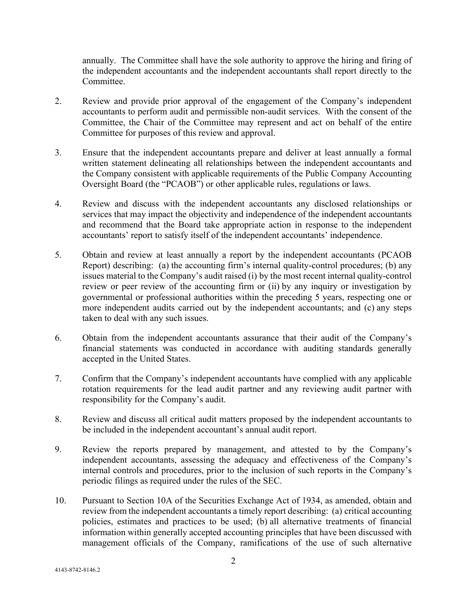annually. The Committee shall have the sole authority to approve the hiring and firing of the independent accountants and the independent accountants shall report directly to the Committee.

- 2. Review and provide prior approval of the engagement of the Company's independent accountants to perform audit and permissible non-audit services. With the consent of the Committee, the Chair of the Committee may represent and act on behalf of the entire Committee for purposes of this review and approval.
- 3. Ensure that the independent accountants prepare and deliver at least annually a formal written statement delineating all relationships between the independent accountants and the Company consistent with applicable requirements of the Public Company Accounting Oversight Board (the "PCAOB") or other applicable rules, regulations or laws.
- 4. Review and discuss with the independent accountants any disclosed relationships or services that may impact the objectivity and independence of the independent accountants and recommend that the Board take appropriate action in response to the independent accountants' report to satisfy itself of the independent accountants' independence.
- 5. Obtain and review at least annually a report by the independent accountants (PCAOB Report) describing: (a) the accounting firm's internal quality-control procedures; (b) any issues material to the Company's audit raised (i) by the most recent internal quality-control review or peer review of the accounting firm or (ii) by any inquiry or investigation by governmental or professional authorities within the preceding 5 years, respecting one or more independent audits carried out by the independent accountants; and (c) any steps taken to deal with any such issues.
- 6. Obtain from the independent accountants assurance that their audit of the Company's financial statements was conducted in accordance with auditing standards generally accepted in the United States.
- 7. Confirm that the Company's independent accountants have complied with any applicable rotation requirements for the lead audit partner and any reviewing audit partner with responsibility for the Company's audit.
- 8. Review and discuss all critical audit matters proposed by the independent accountants to be included in the independent accountant's annual audit report.
- 9. Review the reports prepared by management, and attested to by the Company's independent accountants, assessing the adequacy and effectiveness of the Company's internal controls and procedures, prior to the inclusion of such reports in the Company's periodic filings as required under the rules of the SEC.
- 10. Pursuant to Section 10A of the Securities Exchange Act of 1934, as amended, obtain and review from the independent accountants a timely report describing: (a) critical accounting policies, estimates and practices to be used; (b) all alternative treatments of financial information within generally accepted accounting principles that have been discussed with management officials of the Company, ramifications of the use of such alternative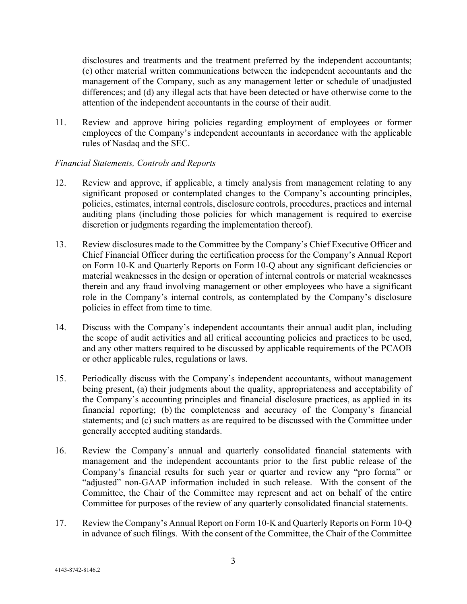disclosures and treatments and the treatment preferred by the independent accountants; (c) other material written communications between the independent accountants and the management of the Company, such as any management letter or schedule of unadjusted differences; and (d) any illegal acts that have been detected or have otherwise come to the attention of the independent accountants in the course of their audit.

11. Review and approve hiring policies regarding employment of employees or former employees of the Company's independent accountants in accordance with the applicable rules of Nasdaq and the SEC.

# *Financial Statements, Controls and Reports*

- 12. Review and approve, if applicable, a timely analysis from management relating to any significant proposed or contemplated changes to the Company's accounting principles, policies, estimates, internal controls, disclosure controls, procedures, practices and internal auditing plans (including those policies for which management is required to exercise discretion or judgments regarding the implementation thereof).
- 13. Review disclosures made to the Committee by the Company's Chief Executive Officer and Chief Financial Officer during the certification process for the Company's Annual Report on Form 10-K and Quarterly Reports on Form 10-Q about any significant deficiencies or material weaknesses in the design or operation of internal controls or material weaknesses therein and any fraud involving management or other employees who have a significant role in the Company's internal controls, as contemplated by the Company's disclosure policies in effect from time to time.
- 14. Discuss with the Company's independent accountants their annual audit plan, including the scope of audit activities and all critical accounting policies and practices to be used, and any other matters required to be discussed by applicable requirements of the PCAOB or other applicable rules, regulations or laws.
- 15. Periodically discuss with the Company's independent accountants, without management being present, (a) their judgments about the quality, appropriateness and acceptability of the Company's accounting principles and financial disclosure practices, as applied in its financial reporting; (b) the completeness and accuracy of the Company's financial statements; and (c) such matters as are required to be discussed with the Committee under generally accepted auditing standards.
- 16. Review the Company's annual and quarterly consolidated financial statements with management and the independent accountants prior to the first public release of the Company's financial results for such year or quarter and review any "pro forma" or "adjusted" non-GAAP information included in such release. With the consent of the Committee, the Chair of the Committee may represent and act on behalf of the entire Committee for purposes of the review of any quarterly consolidated financial statements.
- 17. Review the Company's Annual Report on Form 10-K and Quarterly Reports on Form 10-Q in advance of such filings. With the consent of the Committee, the Chair of the Committee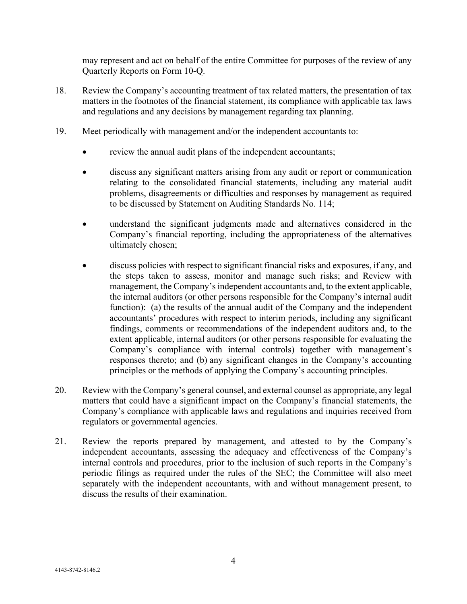may represent and act on behalf of the entire Committee for purposes of the review of any Quarterly Reports on Form 10-Q.

- 18. Review the Company's accounting treatment of tax related matters, the presentation of tax matters in the footnotes of the financial statement, its compliance with applicable tax laws and regulations and any decisions by management regarding tax planning.
- 19. Meet periodically with management and/or the independent accountants to:
	- review the annual audit plans of the independent accountants;
	- discuss any significant matters arising from any audit or report or communication relating to the consolidated financial statements, including any material audit problems, disagreements or difficulties and responses by management as required to be discussed by Statement on Auditing Standards No. 114;
	- understand the significant judgments made and alternatives considered in the Company's financial reporting, including the appropriateness of the alternatives ultimately chosen;
	- discuss policies with respect to significant financial risks and exposures, if any, and the steps taken to assess, monitor and manage such risks; and Review with management, the Company's independent accountants and, to the extent applicable, the internal auditors (or other persons responsible for the Company's internal audit function): (a) the results of the annual audit of the Company and the independent accountants' procedures with respect to interim periods, including any significant findings, comments or recommendations of the independent auditors and, to the extent applicable, internal auditors (or other persons responsible for evaluating the Company's compliance with internal controls) together with management's responses thereto; and (b) any significant changes in the Company's accounting principles or the methods of applying the Company's accounting principles.
- 20. Review with the Company's general counsel, and external counsel as appropriate, any legal matters that could have a significant impact on the Company's financial statements, the Company's compliance with applicable laws and regulations and inquiries received from regulators or governmental agencies.
- 21. Review the reports prepared by management, and attested to by the Company's independent accountants, assessing the adequacy and effectiveness of the Company's internal controls and procedures, prior to the inclusion of such reports in the Company's periodic filings as required under the rules of the SEC; the Committee will also meet separately with the independent accountants, with and without management present, to discuss the results of their examination.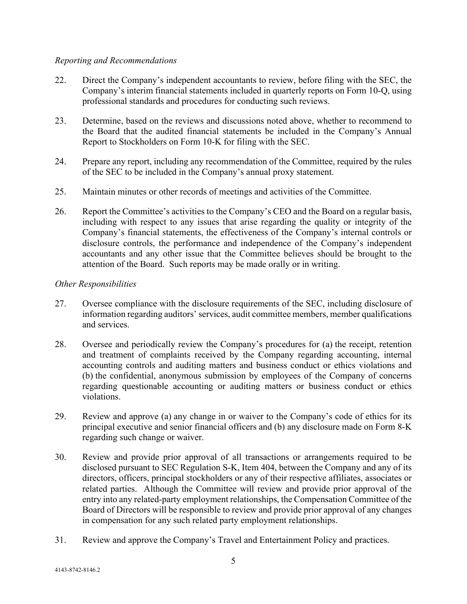# *Reporting and Recommendations*

- 22. Direct the Company's independent accountants to review, before filing with the SEC, the Company's interim financial statements included in quarterly reports on Form 10-Q, using professional standards and procedures for conducting such reviews.
- 23. Determine, based on the reviews and discussions noted above, whether to recommend to the Board that the audited financial statements be included in the Company's Annual Report to Stockholders on Form 10-K for filing with the SEC.
- 24. Prepare any report, including any recommendation of the Committee, required by the rules of the SEC to be included in the Company's annual proxy statement.
- 25. Maintain minutes or other records of meetings and activities of the Committee.
- 26. Report the Committee's activities to the Company's CEO and the Board on a regular basis, including with respect to any issues that arise regarding the quality or integrity of the Company's financial statements, the effectiveness of the Company's internal controls or disclosure controls, the performance and independence of the Company's independent accountants and any other issue that the Committee believes should be brought to the attention of the Board. Such reports may be made orally or in writing.

# *Other Responsibilities*

- 27. Oversee compliance with the disclosure requirements of the SEC, including disclosure of information regarding auditors' services, audit committee members, member qualifications and services.
- 28. Oversee and periodically review the Company's procedures for (a) the receipt, retention and treatment of complaints received by the Company regarding accounting, internal accounting controls and auditing matters and business conduct or ethics violations and (b) the confidential, anonymous submission by employees of the Company of concerns regarding questionable accounting or auditing matters or business conduct or ethics violations.
- 29. Review and approve (a) any change in or waiver to the Company's code of ethics for its principal executive and senior financial officers and (b) any disclosure made on Form 8-K regarding such change or waiver.
- 30. Review and provide prior approval of all transactions or arrangements required to be disclosed pursuant to SEC Regulation S-K, Item 404, between the Company and any of its directors, officers, principal stockholders or any of their respective affiliates, associates or related parties. Although the Committee will review and provide prior approval of the entry into any related-party employment relationships, the Compensation Committee of the Board of Directors will be responsible to review and provide prior approval of any changes in compensation for any such related party employment relationships.
- 31. Review and approve the Company's Travel and Entertainment Policy and practices.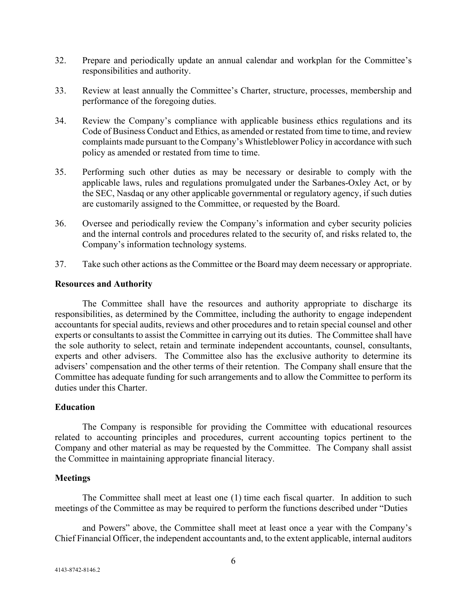- 32. Prepare and periodically update an annual calendar and workplan for the Committee's responsibilities and authority.
- 33. Review at least annually the Committee's Charter, structure, processes, membership and performance of the foregoing duties.
- 34. Review the Company's compliance with applicable business ethics regulations and its Code of Business Conduct and Ethics, as amended or restated from time to time, and review complaints made pursuant to the Company's Whistleblower Policy in accordance with such policy as amended or restated from time to time.
- 35. Performing such other duties as may be necessary or desirable to comply with the applicable laws, rules and regulations promulgated under the Sarbanes-Oxley Act, or by the SEC, Nasdaq or any other applicable governmental or regulatory agency, if such duties are customarily assigned to the Committee, or requested by the Board.
- 36. Oversee and periodically review the Company's information and cyber security policies and the internal controls and procedures related to the security of, and risks related to, the Company's information technology systems.
- 37. Take such other actions as the Committee or the Board may deem necessary or appropriate.

## **Resources and Authority**

The Committee shall have the resources and authority appropriate to discharge its responsibilities, as determined by the Committee, including the authority to engage independent accountants for special audits, reviews and other procedures and to retain special counsel and other experts or consultants to assist the Committee in carrying out its duties. The Committee shall have the sole authority to select, retain and terminate independent accountants, counsel, consultants, experts and other advisers. The Committee also has the exclusive authority to determine its advisers' compensation and the other terms of their retention. The Company shall ensure that the Committee has adequate funding for such arrangements and to allow the Committee to perform its duties under this Charter.

# **Education**

The Company is responsible for providing the Committee with educational resources related to accounting principles and procedures, current accounting topics pertinent to the Company and other material as may be requested by the Committee. The Company shall assist the Committee in maintaining appropriate financial literacy.

## **Meetings**

The Committee shall meet at least one (1) time each fiscal quarter. In addition to such meetings of the Committee as may be required to perform the functions described under "Duties

and Powers" above, the Committee shall meet at least once a year with the Company's Chief Financial Officer, the independent accountants and, to the extent applicable, internal auditors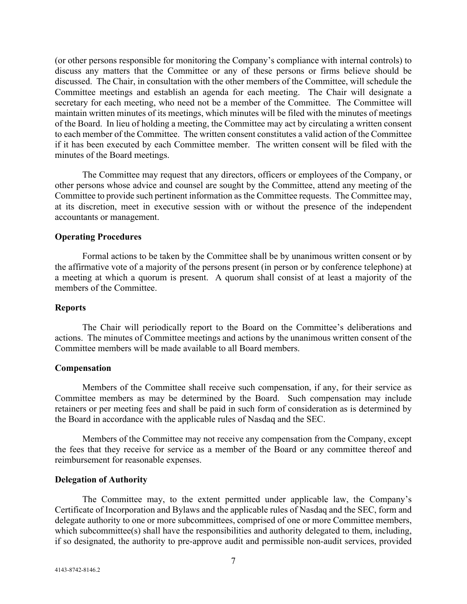(or other persons responsible for monitoring the Company's compliance with internal controls) to discuss any matters that the Committee or any of these persons or firms believe should be discussed. The Chair, in consultation with the other members of the Committee, will schedule the Committee meetings and establish an agenda for each meeting. The Chair will designate a secretary for each meeting, who need not be a member of the Committee. The Committee will maintain written minutes of its meetings, which minutes will be filed with the minutes of meetings of the Board. In lieu of holding a meeting, the Committee may act by circulating a written consent to each member of the Committee. The written consent constitutes a valid action of the Committee if it has been executed by each Committee member. The written consent will be filed with the minutes of the Board meetings.

The Committee may request that any directors, officers or employees of the Company, or other persons whose advice and counsel are sought by the Committee, attend any meeting of the Committee to provide such pertinent information as the Committee requests. The Committee may, at its discretion, meet in executive session with or without the presence of the independent accountants or management.

## **Operating Procedures**

Formal actions to be taken by the Committee shall be by unanimous written consent or by the affirmative vote of a majority of the persons present (in person or by conference telephone) at a meeting at which a quorum is present. A quorum shall consist of at least a majority of the members of the Committee.

#### **Reports**

The Chair will periodically report to the Board on the Committee's deliberations and actions. The minutes of Committee meetings and actions by the unanimous written consent of the Committee members will be made available to all Board members.

### **Compensation**

Members of the Committee shall receive such compensation, if any, for their service as Committee members as may be determined by the Board. Such compensation may include retainers or per meeting fees and shall be paid in such form of consideration as is determined by the Board in accordance with the applicable rules of Nasdaq and the SEC.

Members of the Committee may not receive any compensation from the Company, except the fees that they receive for service as a member of the Board or any committee thereof and reimbursement for reasonable expenses.

#### **Delegation of Authority**

The Committee may, to the extent permitted under applicable law, the Company's Certificate of Incorporation and Bylaws and the applicable rules of Nasdaq and the SEC, form and delegate authority to one or more subcommittees, comprised of one or more Committee members, which subcommittee(s) shall have the responsibilities and authority delegated to them, including, if so designated, the authority to pre-approve audit and permissible non-audit services, provided